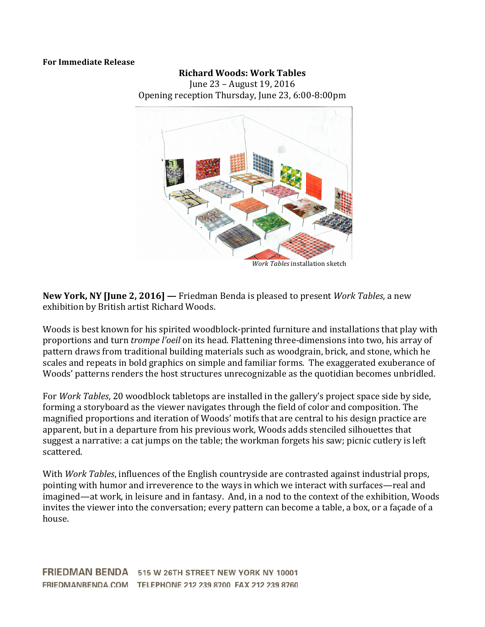## **For Immediate Release**

## **Richard Woods: Work Tables**

June 23 – August 19, 2016 Opening reception Thursday, June 23, 6:00-8:00pm



**New York, NY [June 2, 2016]** — Friedman Benda is pleased to present *Work Tables*, a new exhibition by British artist Richard Woods.

Woods is best known for his spirited woodblock-printed furniture and installations that play with proportions and turn *trompe l'oeil* on its head. Flattening three-dimensions into two, his array of pattern draws from traditional building materials such as woodgrain, brick, and stone, which he scales and repeats in bold graphics on simple and familiar forms. The exaggerated exuberance of Woods' patterns renders the host structures unrecognizable as the quotidian becomes unbridled.

For *Work Tables*, 20 woodblock tabletops are installed in the gallery's project space side by side, forming a storyboard as the viewer navigates through the field of color and composition. The magnified proportions and iteration of Woods' motifs that are central to his design practice are apparent, but in a departure from his previous work, Woods adds stenciled silhouettes that suggest a narrative: a cat jumps on the table; the workman forgets his saw; picnic cutlery is left scattered. 

With *Work Tables*, influences of the English countryside are contrasted against industrial props, pointing with humor and irreverence to the ways in which we interact with surfaces—real and imagined—at work, in leisure and in fantasy. And, in a nod to the context of the exhibition, Woods invites the viewer into the conversation; every pattern can become a table, a box, or a façade of a house. 

FRIEDMAN BENDA 515 W 26TH STREET NEW YORK NY 10001 FRIEDMANBENDA.COM TELEPHONE 212 239 8700 FAX 212 239 8760